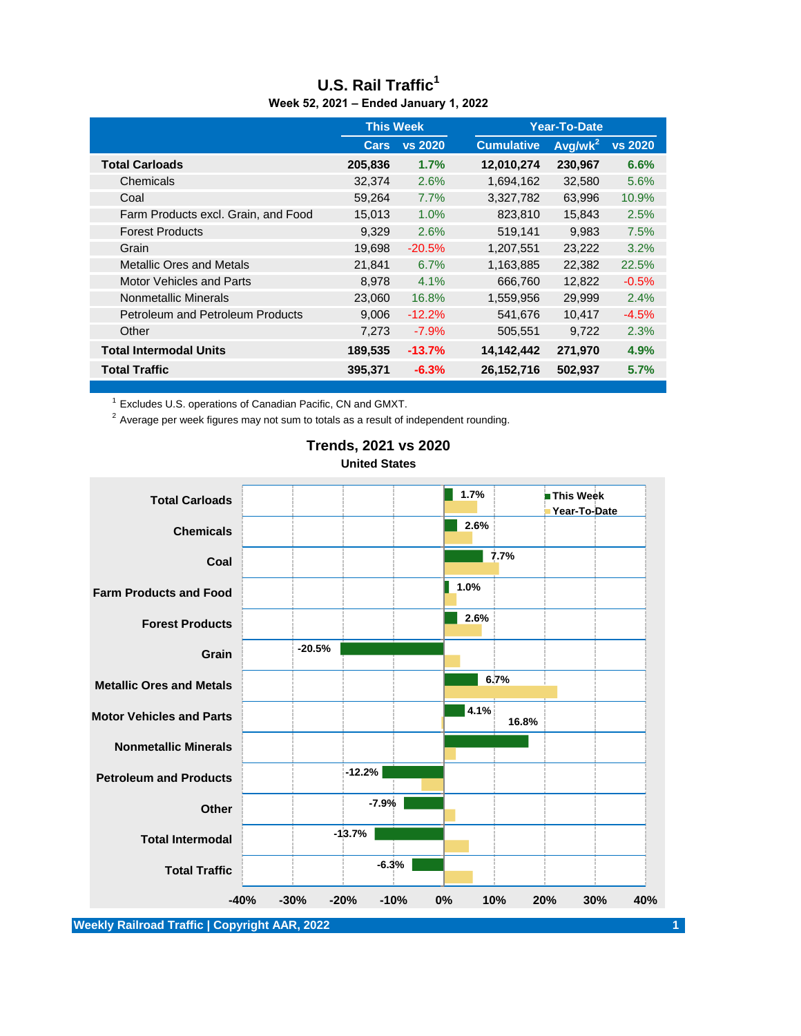|                                         | <b>This Week</b> |                |                   | <b>Year-To-Date</b> |                |  |
|-----------------------------------------|------------------|----------------|-------------------|---------------------|----------------|--|
|                                         | <b>Cars</b>      | <b>vs 2020</b> | <b>Cumulative</b> | $Avg/wk^2$          | <b>vs 2020</b> |  |
| <b>Total Carloads</b>                   | 205,836          | 1.7%           | 12,010,274        | 230,967             | 6.6%           |  |
| Chemicals                               | 32,374           | 2.6%           | 1,694,162         | 32,580              | 5.6%           |  |
| Coal                                    | 59,264           | 7.7%           | 3,327,782         | 63,996              | 10.9%          |  |
| Farm Products excl. Grain, and Food     | 15,013           | 1.0%           | 823,810           | 15,843              | 2.5%           |  |
| <b>Forest Products</b>                  | 9,329            | 2.6%           | 519,141           | 9,983               | 7.5%           |  |
| Grain                                   | 19,698           | $-20.5%$       | 1,207,551         | 23,222              | 3.2%           |  |
| <b>Metallic Ores and Metals</b>         | 21,841           | 6.7%           | 1,163,885         | 22,382              | 22.5%          |  |
| <b>Motor Vehicles and Parts</b>         | 8.978            | 4.1%           | 666,760           | 12.822              | $-0.5%$        |  |
| Nonmetallic Minerals                    | 23,060           | 16.8%          | 1,559,956         | 29,999              | 2.4%           |  |
| <b>Petroleum and Petroleum Products</b> | 9,006            | $-12.2%$       | 541,676           | 10,417              | $-4.5%$        |  |
| Other                                   | 7,273            | $-7.9%$        | 505,551           | 9.722               | 2.3%           |  |
| <b>Total Intermodal Units</b>           | 189,535          | $-13.7%$       | 14,142,442        | 271,970             | 4.9%           |  |
| <b>Total Traffic</b>                    | 395,371          | $-6.3%$        | 26,152,716        | 502,937             | 5.7%           |  |

#### **U.S. Rail Traffic<sup>1</sup> Week 52, 2021 – Ended January 1, 2022**

<sup>1</sup> Excludes U.S. operations of Canadian Pacific, CN and GMXT.

 $2$  Average per week figures may not sum to totals as a result of independent rounding.



## **Trends, 2021 vs 2020 United States**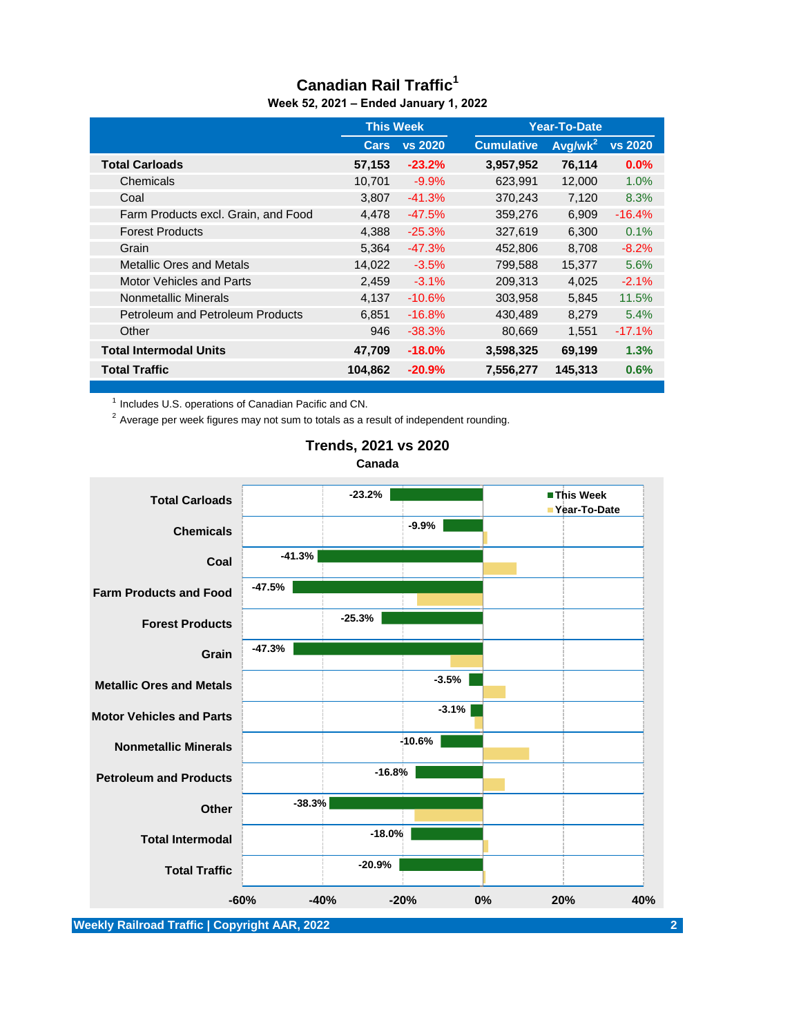## **Canadian Rail Traffic<sup>1</sup> Week 52, 2021 – Ended January 1, 2022**

|                                         | <b>This Week</b> |                | Year-To-Date      |                     |                |
|-----------------------------------------|------------------|----------------|-------------------|---------------------|----------------|
|                                         | Cars             | <b>vs 2020</b> | <b>Cumulative</b> | Avg/wk <sup>2</sup> | <b>vs 2020</b> |
| <b>Total Carloads</b>                   | 57,153           | $-23.2%$       | 3,957,952         | 76,114              | $0.0\%$        |
| Chemicals                               | 10,701           | $-9.9%$        | 623,991           | 12,000              | 1.0%           |
| Coal                                    | 3.807            | $-41.3%$       | 370,243           | 7,120               | 8.3%           |
| Farm Products excl. Grain, and Food     | 4,478            | $-47.5%$       | 359,276           | 6,909               | $-16.4%$       |
| <b>Forest Products</b>                  | 4,388            | $-25.3%$       | 327,619           | 6,300               | 0.1%           |
| Grain                                   | 5,364            | $-47.3%$       | 452,806           | 8,708               | $-8.2%$        |
| <b>Metallic Ores and Metals</b>         | 14,022           | $-3.5%$        | 799,588           | 15,377              | 5.6%           |
| <b>Motor Vehicles and Parts</b>         | 2.459            | $-3.1%$        | 209.313           | 4.025               | $-2.1%$        |
| Nonmetallic Minerals                    | 4,137            | $-10.6%$       | 303,958           | 5,845               | 11.5%          |
| <b>Petroleum and Petroleum Products</b> | 6,851            | $-16.8%$       | 430,489           | 8,279               | 5.4%           |
| Other                                   | 946              | $-38.3%$       | 80.669            | 1.551               | $-17.1%$       |
| <b>Total Intermodal Units</b>           | 47,709           | $-18.0\%$      | 3,598,325         | 69,199              | 1.3%           |
| <b>Total Traffic</b>                    | 104,862          | $-20.9\%$      | 7,556,277         | 145,313             | 0.6%           |

<sup>1</sup> Includes U.S. operations of Canadian Pacific and CN.

 $2$  Average per week figures may not sum to totals as a result of independent rounding.



#### **Trends, 2021 vs 2020 Canada**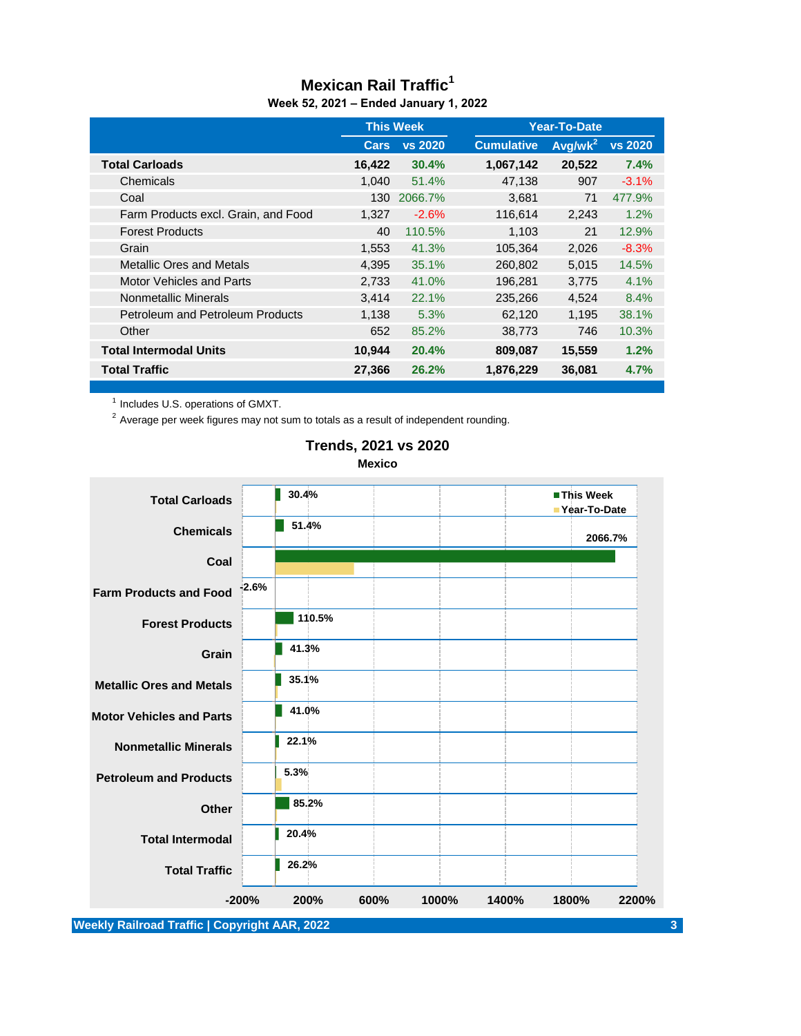#### **Mexican Rail Traffic<sup>1</sup> Week 52, 2021 – Ended January 1, 2022**

|                                         | <b>This Week</b> |                | Year-To-Date      |                     |                |
|-----------------------------------------|------------------|----------------|-------------------|---------------------|----------------|
|                                         | Cars             | <b>vs 2020</b> | <b>Cumulative</b> | Avg/wk <sup>2</sup> | <b>vs 2020</b> |
| <b>Total Carloads</b>                   | 16,422           | 30.4%          | 1,067,142         | 20,522              | 7.4%           |
| Chemicals                               | 1.040            | 51.4%          | 47,138            | 907                 | $-3.1%$        |
| Coal                                    | 130              | 2066.7%        | 3,681             | 71                  | 477.9%         |
| Farm Products excl. Grain, and Food     | 1.327            | $-2.6%$        | 116,614           | 2,243               | 1.2%           |
| <b>Forest Products</b>                  | 40               | 110.5%         | 1,103             | 21                  | 12.9%          |
| Grain                                   | 1,553            | 41.3%          | 105,364           | 2,026               | $-8.3%$        |
| <b>Metallic Ores and Metals</b>         | 4,395            | 35.1%          | 260,802           | 5,015               | 14.5%          |
| Motor Vehicles and Parts                | 2,733            | 41.0%          | 196,281           | 3,775               | 4.1%           |
| Nonmetallic Minerals                    | 3.414            | 22.1%          | 235,266           | 4.524               | 8.4%           |
| <b>Petroleum and Petroleum Products</b> | 1,138            | 5.3%           | 62,120            | 1,195               | 38.1%          |
| Other                                   | 652              | 85.2%          | 38,773            | 746                 | 10.3%          |
| <b>Total Intermodal Units</b>           | 10.944           | 20.4%          | 809,087           | 15,559              | 1.2%           |
| <b>Total Traffic</b>                    | 27,366           | 26.2%          | 1,876,229         | 36,081              | 4.7%           |

 $<sup>1</sup>$  Includes U.S. operations of GMXT.</sup>

 $2$  Average per week figures may not sum to totals as a result of independent rounding.



#### **Trends, 2021 vs 2020 Mexico**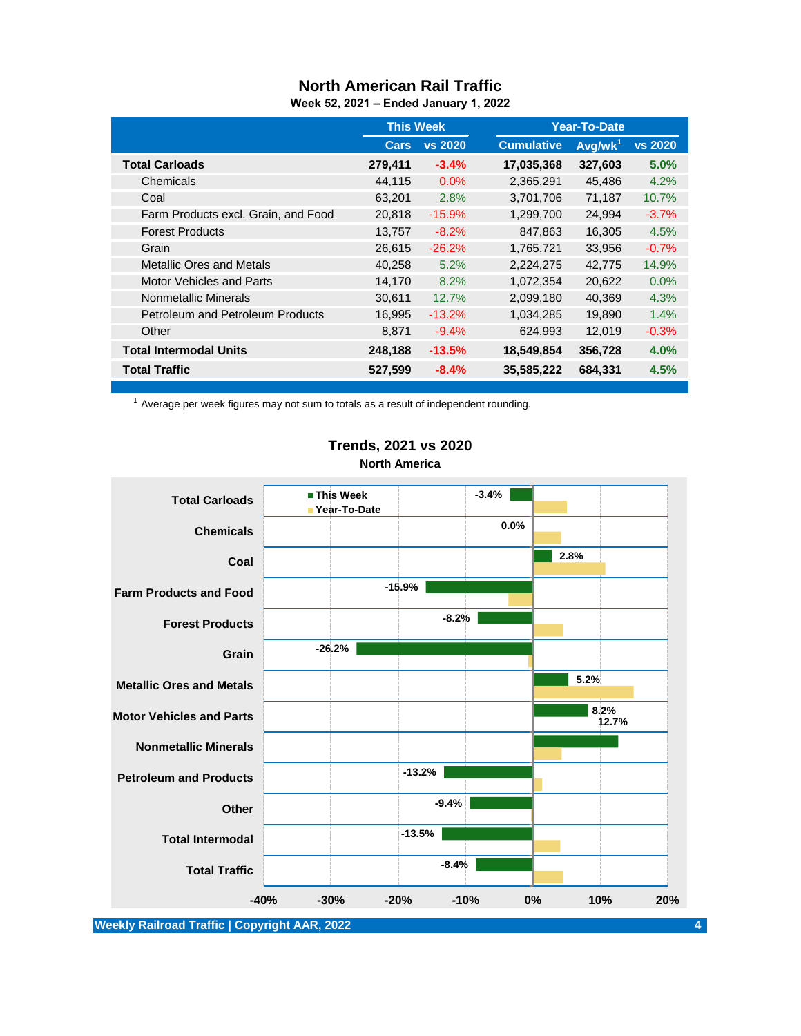# **North American Rail Traffic**

**Week 52, 2021 – Ended January 1, 2022**

|                                         | <b>This Week</b> |                | Year-To-Date      |                     |                |
|-----------------------------------------|------------------|----------------|-------------------|---------------------|----------------|
|                                         | Cars             | <b>vs 2020</b> | <b>Cumulative</b> | Avg/wk <sup>1</sup> | <b>vs 2020</b> |
| <b>Total Carloads</b>                   | 279,411          | $-3.4%$        | 17,035,368        | 327,603             | 5.0%           |
| Chemicals                               | 44,115           | 0.0%           | 2,365,291         | 45,486              | 4.2%           |
| Coal                                    | 63,201           | 2.8%           | 3,701,706         | 71,187              | 10.7%          |
| Farm Products excl. Grain, and Food     | 20,818           | $-15.9%$       | 1,299,700         | 24,994              | $-3.7%$        |
| <b>Forest Products</b>                  | 13,757           | $-8.2%$        | 847,863           | 16,305              | 4.5%           |
| Grain                                   | 26,615           | $-26.2%$       | 1,765,721         | 33,956              | $-0.7%$        |
| <b>Metallic Ores and Metals</b>         | 40,258           | 5.2%           | 2,224,275         | 42,775              | 14.9%          |
| <b>Motor Vehicles and Parts</b>         | 14,170           | 8.2%           | 1,072,354         | 20,622              | $0.0\%$        |
| Nonmetallic Minerals                    | 30,611           | 12.7%          | 2,099,180         | 40,369              | 4.3%           |
| <b>Petroleum and Petroleum Products</b> | 16,995           | $-13.2\%$      | 1,034,285         | 19,890              | 1.4%           |
| Other                                   | 8.871            | $-9.4%$        | 624,993           | 12.019              | $-0.3%$        |
| <b>Total Intermodal Units</b>           | 248,188          | $-13.5%$       | 18,549,854        | 356,728             | 4.0%           |
| <b>Total Traffic</b>                    | 527,599          | $-8.4%$        | 35,585,222        | 684,331             | 4.5%           |

 $1$  Average per week figures may not sum to totals as a result of independent rounding.



## **Trends, 2021 vs 2020 North America**